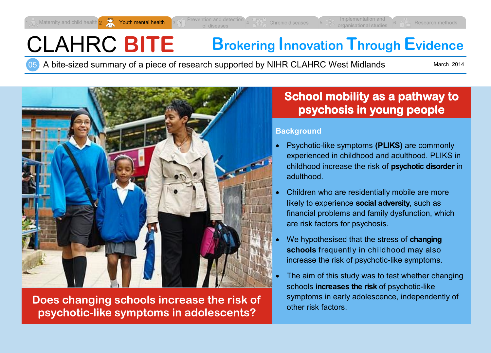Youth mental health

Maternity and child health 2

# CLAHRC **BITE Brokering Innovation Through Evidence**

05 A bite-sized summary of a piece of research supported by NIHR CLAHRC West Midlands

March 2014

Research method



**Does changing schools increase the risk of psychotic-like symptoms in adolescents?**

## **School mobility as a pathway to psychosis in young people**

#### **Background**

- Psychotic-like symptoms **(PLIKS)** are commonly experienced in childhood and adulthood. PLIKS in childhood increase the risk of **psychotic disorder** in adulthood.
- Children who are residentially mobile are more likely to experience **social adversity**, such as financial problems and family dysfunction, which are risk factors for psychosis.
- We hypothesised that the stress of **changing schools** frequently in childhood may also increase the risk of psychotic-like symptoms.
- The aim of this study was to test whether changing schools **increases the risk** of psychotic-like symptoms in early adolescence, independently of other risk factors.